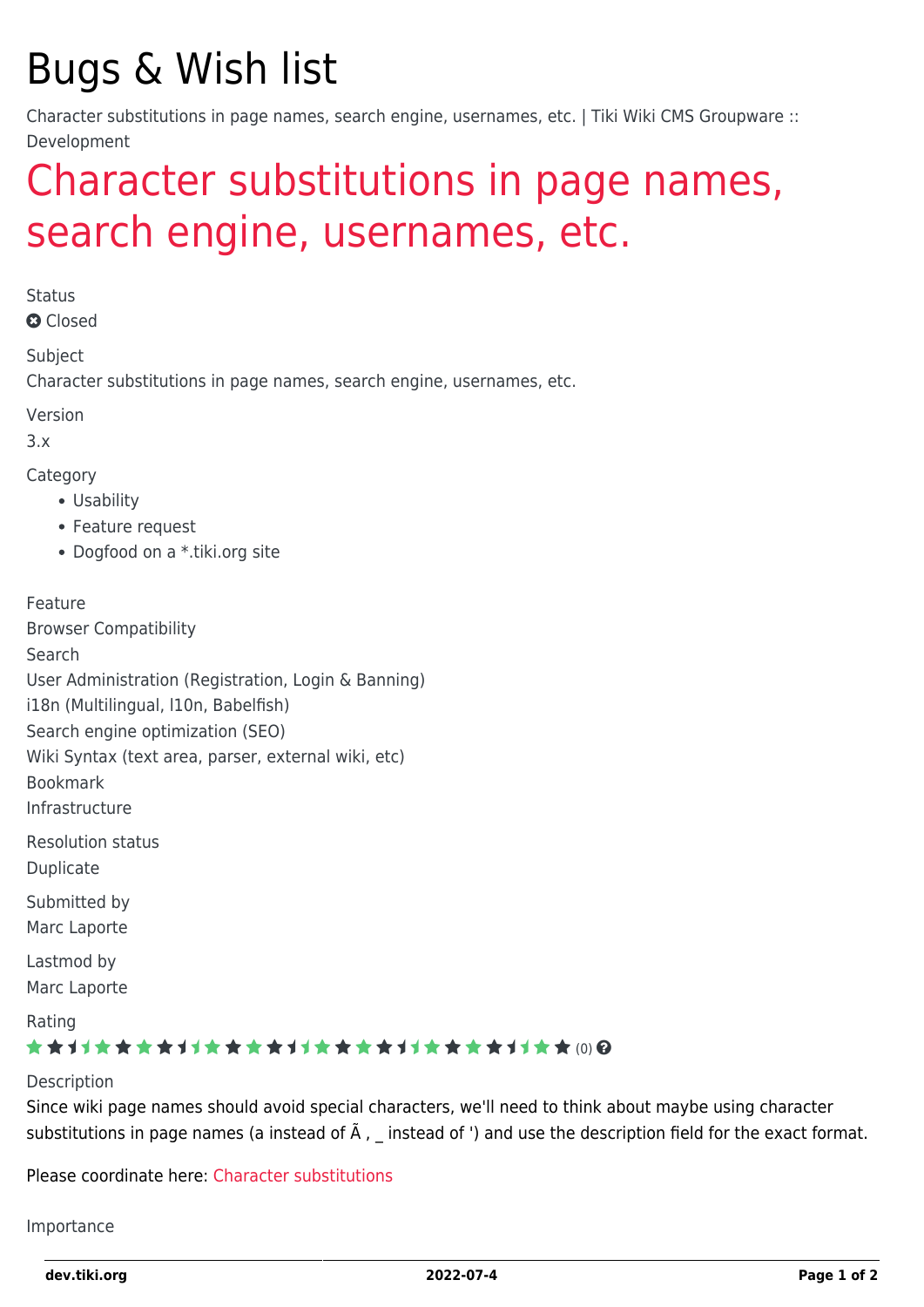# Bugs & Wish list

Character substitutions in page names, search engine, usernames, etc. | Tiki Wiki CMS Groupware :: Development

## [Character substitutions in page names,](https://dev.tiki.org/item2195-Character-substitutions-in-page-names-search-engine-usernames-etc) [search engine, usernames, etc.](https://dev.tiki.org/item2195-Character-substitutions-in-page-names-search-engine-usernames-etc)

**Status** 

**a** Closed

Subject

Character substitutions in page names, search engine, usernames, etc.

Version

3.x

Category

- Usability
- Feature request
- Dogfood on a \*.tiki.org site

Feature

Browser Compatibility Search User Administration (Registration, Login & Banning) i18n (Multilingual, l10n, Babelfish) Search engine optimization (SEO) Wiki Syntax (text area, parser, external wiki, etc) Bookmark Infrastructure Resolution status Duplicate Submitted by Marc Laporte Lastmod by Marc Laporte

Rating

#### \*\*\*\*\*\*\*\*\*\*\*\*\*\*\*\*\*\*\*\*\*\*\*\*\*\*\*\*\*\*\*

Description

Since wiki page names should avoid special characters, we'll need to think about maybe using character substitutions in page names (a instead of  $\tilde{A}$ , \_ instead of ') and use the description field for the exact format.

Please coordinate here: [Character substitutions](https://dev.tiki.org/Character-substitutions)

Importance